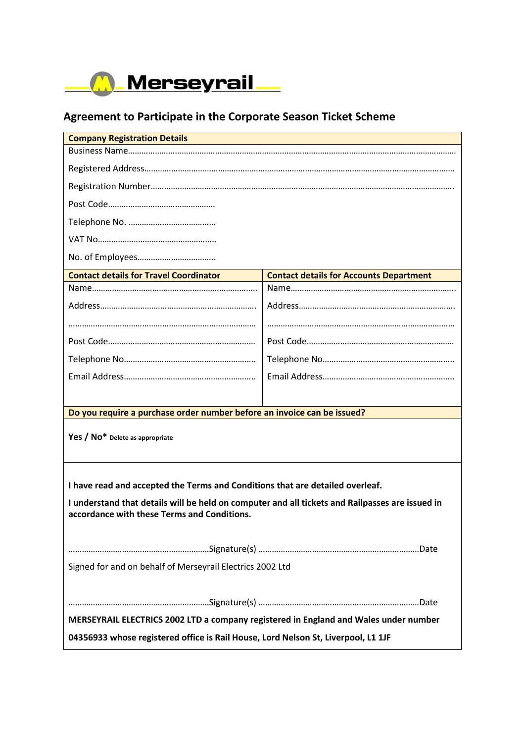

## **Agreement to Participate in the Corporate Season Ticket Scheme**

| <b>Company Registration Details</b>                                                             |                                                |
|-------------------------------------------------------------------------------------------------|------------------------------------------------|
|                                                                                                 |                                                |
|                                                                                                 |                                                |
|                                                                                                 |                                                |
|                                                                                                 |                                                |
|                                                                                                 |                                                |
|                                                                                                 |                                                |
|                                                                                                 |                                                |
| <b>Contact details for Travel Coordinator</b>                                                   | <b>Contact details for Accounts Department</b> |
|                                                                                                 |                                                |
|                                                                                                 |                                                |
|                                                                                                 |                                                |
|                                                                                                 |                                                |
|                                                                                                 |                                                |
|                                                                                                 |                                                |
|                                                                                                 |                                                |
| Do you require a purchase order number before an invoice can be issued?                         |                                                |
|                                                                                                 |                                                |
| Yes / No* Delete as appropriate                                                                 |                                                |
|                                                                                                 |                                                |
|                                                                                                 |                                                |
| I have read and accepted the Terms and Conditions that are detailed overleaf.                   |                                                |
| I understand that details will be held on computer and all tickets and Railpasses are issued in |                                                |
| accordance with these Terms and Conditions.                                                     |                                                |
|                                                                                                 |                                                |
|                                                                                                 |                                                |
| Signed for and on behalf of Merseyrail Electrics 2002 Ltd                                       |                                                |
|                                                                                                 |                                                |
|                                                                                                 |                                                |
| MERSEYRAIL ELECTRICS 2002 LTD a company registered in England and Wales under number            |                                                |
| 04356933 whose registered office is Rail House, Lord Nelson St, Liverpool, L1 1JF               |                                                |